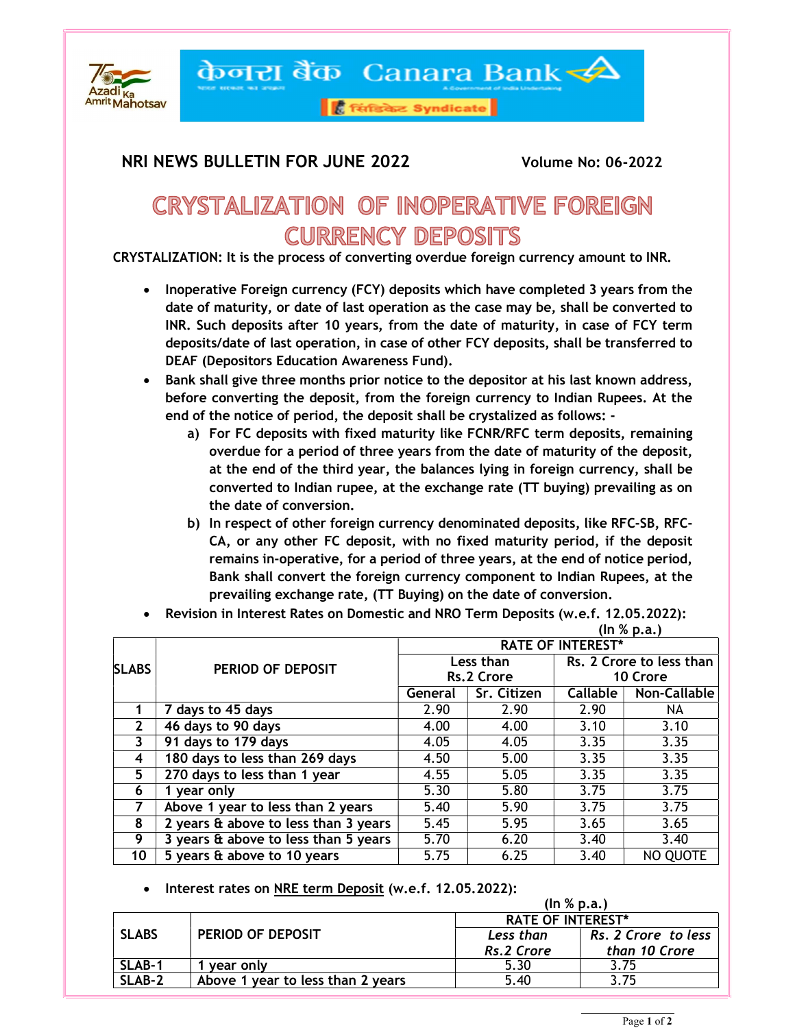

केनरा बैंक Canara Bank

<mark>हैं सिंडिकेट Syndicate</mark>

## NRI NEWS BULLETIN FOR JUNE 2022 Volume No: 06-2022

## **CRYSTALIZATION OF INOPERATIVE FOREIGN CURRENCY DEPOSITS**

CRYSTALIZATION: It is the process of converting overdue foreign currency amount to INR.

- Inoperative Foreign currency (FCY) deposits which have completed 3 years from the date of maturity, or date of last operation as the case may be, shall be converted to INR. Such deposits after 10 years, from the date of maturity, in case of FCY term deposits/date of last operation, in case of other FCY deposits, shall be transferred to DEAF (Depositors Education Awareness Fund).
- Bank shall give three months prior notice to the depositor at his last known address, before converting the deposit, from the foreign currency to Indian Rupees. At the end of the notice of period, the deposit shall be crystalized as follows:
	- a) For FC deposits with fixed maturity like FCNR/RFC term deposits, remaining overdue for a period of three years from the date of maturity of the deposit, at the end of the third year, the balances lying in foreign currency, shall be converted to Indian rupee, at the exchange rate (TT buying) prevailing as on the date of conversion.
	- b) In respect of other foreign currency denominated deposits, like RFC-SB, RFC-CA, or any other FC deposit, with no fixed maturity period, if the deposit remains in-operative, for a period of three years, at the end of notice period, Bank shall convert the foreign currency component to Indian Rupees, at the prevailing exchange rate, (TT Buying) on the date of conversion.
- Revision in Interest Rates on Domestic and NRO Term Deposits (w.e.f. 12.05.2022):<br>(In % p.a.)  $(\ln \% \text{ p.a.})$

|              |                                      |                          |             |                          | , <b></b> ,  |  |  |
|--------------|--------------------------------------|--------------------------|-------------|--------------------------|--------------|--|--|
| <b>SLABS</b> |                                      | <b>RATE OF INTEREST*</b> |             |                          |              |  |  |
|              |                                      | Less than                |             | Rs. 2 Crore to less than |              |  |  |
|              | PERIOD OF DEPOSIT                    |                          | Rs.2 Crore  |                          | 10 Crore     |  |  |
|              |                                      | General                  | Sr. Citizen | <b>Callable</b>          | Non-Callable |  |  |
|              | 7 days to 45 days                    | 2.90                     | 2.90        | 2.90                     | NA.          |  |  |
| 2            | 46 days to 90 days                   | 4.00                     | 4.00        | 3.10                     | 3.10         |  |  |
|              | 91 days to 179 days                  | 4.05                     | 4.05        | 3.35                     | 3.35         |  |  |
| 4            | 180 days to less than 269 days       | 4.50                     | 5.00        | 3.35                     | 3.35         |  |  |
| 5            | 270 days to less than 1 year         | 4.55                     | 5.05        | 3.35                     | 3.35         |  |  |
| 6            | 1 year only                          | 5.30                     | 5.80        | 3.75                     | 3.75         |  |  |
|              | Above 1 year to less than 2 years    | 5.40                     | 5.90        | 3.75                     | 3.75         |  |  |
| 8            | 2 years & above to less than 3 years | 5.45                     | 5.95        | 3.65                     | 3.65         |  |  |
| 9            | 3 years & above to less than 5 years | 5.70                     | 6.20        | 3.40                     | 3.40         |  |  |
| 10           | 5 years & above to 10 years          | 5.75                     | 6.25        | 3.40                     | NO QUOTE     |  |  |

• Interest rates on NRE term Deposit (w.e.f. 12.05.2022):

|              | (ln % p.a.)                            |                          |                     |  |  |  |  |
|--------------|----------------------------------------|--------------------------|---------------------|--|--|--|--|
| <b>SLABS</b> | PERIOD OF DEPOSIT                      | <b>RATE OF INTEREST*</b> |                     |  |  |  |  |
|              |                                        | Less than                | Rs. 2 Crore to less |  |  |  |  |
|              |                                        | Rs.2 Crore               | than 10 Crore       |  |  |  |  |
| SLAB-1       | vear only                              | 5.30                     |                     |  |  |  |  |
| SLAB-2       | l year to less than 2 years<br>Above 1 | 5.40                     | 75                  |  |  |  |  |